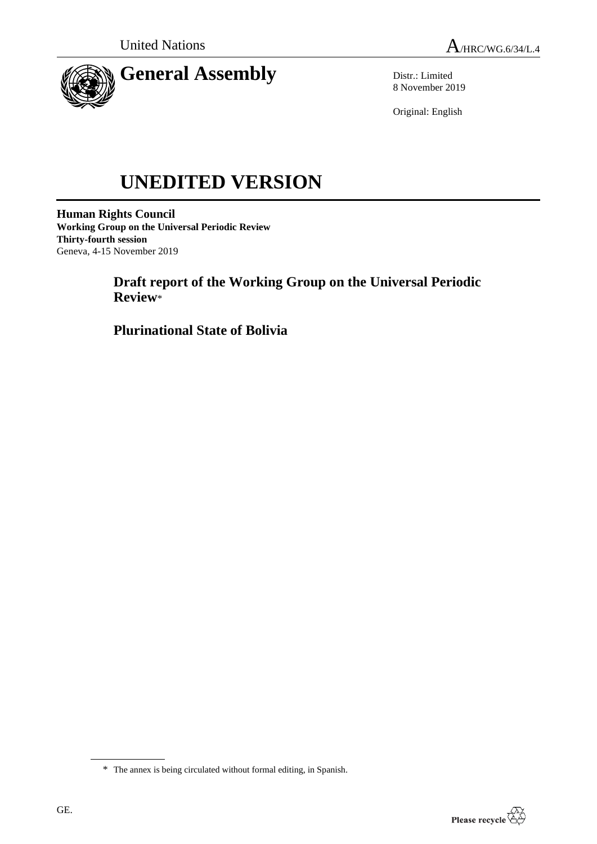

Distr.: Limited 8 November 2019

Original: English

# **UNEDITED VERSION**

**Human Rights Council Working Group on the Universal Periodic Review Thirty-fourth session** Geneva, 4-15 November 2019

> **Draft report of the Working Group on the Universal Periodic Review**\*

**Plurinational State of Bolivia**



<sup>\*</sup> The annex is being circulated without formal editing, in Spanish.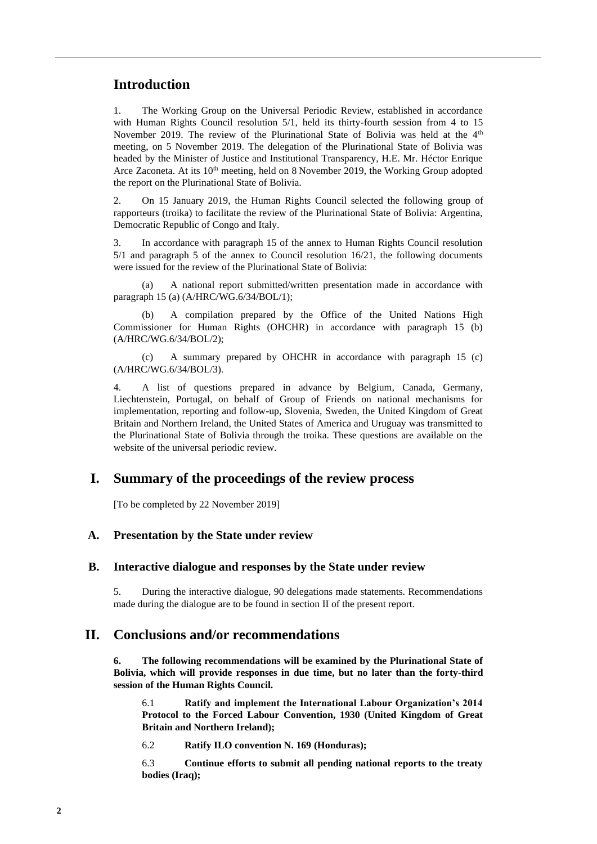# **Introduction**

1. The Working Group on the Universal Periodic Review, established in accordance with Human Rights Council resolution 5/1, held its thirty-fourth session from 4 to 15 November 2019. The review of the Plurinational State of Bolivia was held at the  $4<sup>th</sup>$ meeting, on 5 November 2019. The delegation of the Plurinational State of Bolivia was headed by the Minister of Justice and Institutional Transparency, H.E. Mr. Héctor Enrique Arce Zaconeta. At its 10<sup>th</sup> meeting, held on 8 November 2019, the Working Group adopted the report on the Plurinational State of Bolivia.

2. On 15 January 2019, the Human Rights Council selected the following group of rapporteurs (troika) to facilitate the review of the Plurinational State of Bolivia: Argentina, Democratic Republic of Congo and Italy.

3. In accordance with paragraph 15 of the annex to Human Rights Council resolution 5/1 and paragraph 5 of the annex to Council resolution 16/21, the following documents were issued for the review of the Plurinational State of Bolivia:

(a) A national report submitted/written presentation made in accordance with paragraph 15 (a) (A/HRC/WG.6/34/BOL/1);

(b) A compilation prepared by the Office of the United Nations High Commissioner for Human Rights (OHCHR) in accordance with paragraph 15 (b) (A/HRC/WG.6/34/BOL/2);

(c) A summary prepared by OHCHR in accordance with paragraph 15 (c) (A/HRC/WG.6/34/BOL/3).

4. A list of questions prepared in advance by Belgium, Canada, Germany, Liechtenstein, Portugal, on behalf of Group of Friends on national mechanisms for implementation, reporting and follow-up, Slovenia, Sweden, the United Kingdom of Great Britain and Northern Ireland, the United States of America and Uruguay was transmitted to the Plurinational State of Bolivia through the troika. These questions are available on the website of the universal periodic review.

## **I. Summary of the proceedings of the review process**

[To be completed by 22 November 2019]

## **A. Presentation by the State under review**

#### **B. Interactive dialogue and responses by the State under review**

5. During the interactive dialogue, 90 delegations made statements. Recommendations made during the dialogue are to be found in section II of the present report.

## **II. Conclusions and/or recommendations**

**6. The following recommendations will be examined by the Plurinational State of Bolivia, which will provide responses in due time, but no later than the forty-third session of the Human Rights Council.**

6.1 **Ratify and implement the International Labour Organization's 2014 Protocol to the Forced Labour Convention, 1930 (United Kingdom of Great Britain and Northern Ireland);**

6.2 **Ratify ILO convention N. 169 (Honduras);**

6.3 **Continue efforts to submit all pending national reports to the treaty bodies (Iraq);**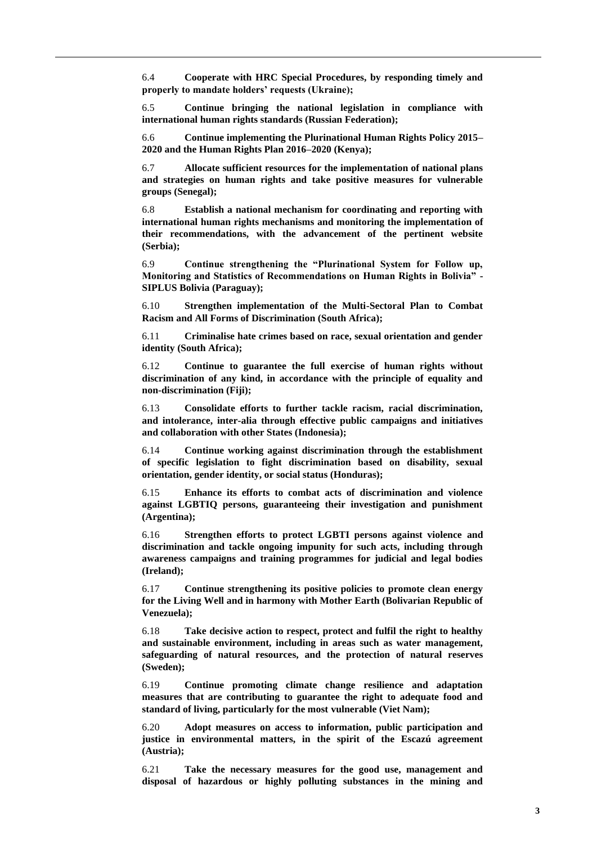6.4 **Cooperate with HRC Special Procedures, by responding timely and properly to mandate holders' requests (Ukraine);**

6.5 **Continue bringing the national legislation in compliance with international human rights standards (Russian Federation);**

6.6 **Continue implementing the Plurinational Human Rights Policy 2015– 2020 and the Human Rights Plan 2016–2020 (Kenya);**

6.7 **Allocate sufficient resources for the implementation of national plans and strategies on human rights and take positive measures for vulnerable groups (Senegal);**

6.8 **Establish a national mechanism for coordinating and reporting with international human rights mechanisms and monitoring the implementation of their recommendations, with the advancement of the pertinent website (Serbia);**

6.9 **Continue strengthening the "Plurinational System for Follow up, Monitoring and Statistics of Recommendations on Human Rights in Bolivia" - SIPLUS Bolivia (Paraguay);**

6.10 **Strengthen implementation of the Multi-Sectoral Plan to Combat Racism and All Forms of Discrimination (South Africa);**

6.11 **Criminalise hate crimes based on race, sexual orientation and gender identity (South Africa);**

6.12 **Continue to guarantee the full exercise of human rights without discrimination of any kind, in accordance with the principle of equality and non-discrimination (Fiji);**

6.13 **Consolidate efforts to further tackle racism, racial discrimination, and intolerance, inter-alia through effective public campaigns and initiatives and collaboration with other States (Indonesia);**

6.14 **Continue working against discrimination through the establishment of specific legislation to fight discrimination based on disability, sexual orientation, gender identity, or social status (Honduras);**

6.15 **Enhance its efforts to combat acts of discrimination and violence against LGBTIQ persons, guaranteeing their investigation and punishment (Argentina);**

6.16 **Strengthen efforts to protect LGBTI persons against violence and discrimination and tackle ongoing impunity for such acts, including through awareness campaigns and training programmes for judicial and legal bodies (Ireland);**

6.17 **Continue strengthening its positive policies to promote clean energy for the Living Well and in harmony with Mother Earth (Bolivarian Republic of Venezuela);**

6.18 **Take decisive action to respect, protect and fulfil the right to healthy and sustainable environment, including in areas such as water management, safeguarding of natural resources, and the protection of natural reserves (Sweden);**

6.19 **Continue promoting climate change resilience and adaptation measures that are contributing to guarantee the right to adequate food and standard of living, particularly for the most vulnerable (Viet Nam);**

6.20 **Adopt measures on access to information, public participation and justice in environmental matters, in the spirit of the Escazú agreement (Austria);**

6.21 **Take the necessary measures for the good use, management and disposal of hazardous or highly polluting substances in the mining and**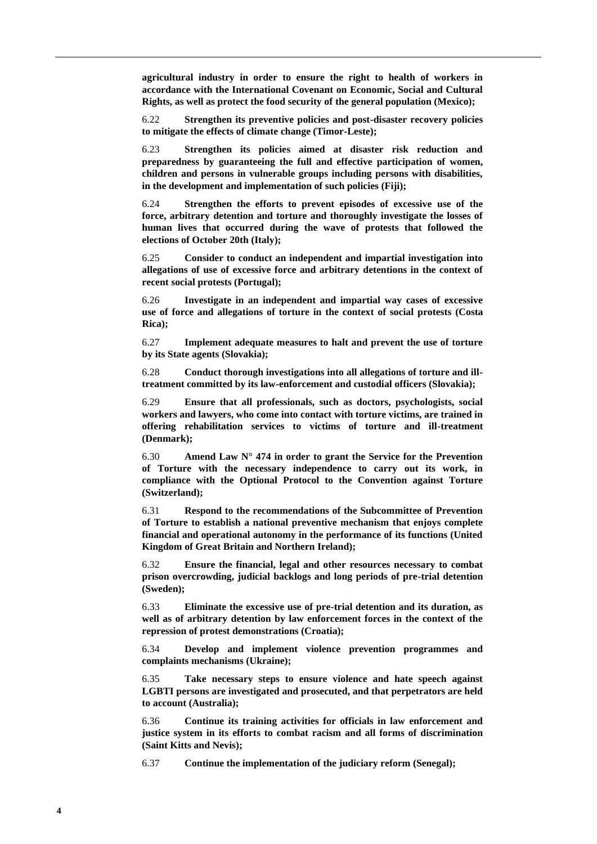**agricultural industry in order to ensure the right to health of workers in accordance with the International Covenant on Economic, Social and Cultural Rights, as well as protect the food security of the general population (Mexico);**

6.22 **Strengthen its preventive policies and post-disaster recovery policies to mitigate the effects of climate change (Timor-Leste);**

6.23 **Strengthen its policies aimed at disaster risk reduction and preparedness by guaranteeing the full and effective participation of women, children and persons in vulnerable groups including persons with disabilities, in the development and implementation of such policies (Fiji);**

6.24 **Strengthen the efforts to prevent episodes of excessive use of the force, arbitrary detention and torture and thoroughly investigate the losses of human lives that occurred during the wave of protests that followed the elections of October 20th (Italy);**

6.25 **Consider to conduct an independent and impartial investigation into allegations of use of excessive force and arbitrary detentions in the context of recent social protests (Portugal);**

6.26 **Investigate in an independent and impartial way cases of excessive use of force and allegations of torture in the context of social protests (Costa Rica);**

6.27 **Implement adequate measures to halt and prevent the use of torture by its State agents (Slovakia);**

6.28 **Conduct thorough investigations into all allegations of torture and illtreatment committed by its law-enforcement and custodial officers (Slovakia);**

6.29 **Ensure that all professionals, such as doctors, psychologists, social workers and lawyers, who come into contact with torture victims, are trained in offering rehabilitation services to victims of torture and ill-treatment (Denmark);**

6.30 **Amend Law N° 474 in order to grant the Service for the Prevention of Torture with the necessary independence to carry out its work, in compliance with the Optional Protocol to the Convention against Torture (Switzerland);**

6.31 **Respond to the recommendations of the Subcommittee of Prevention of Torture to establish a national preventive mechanism that enjoys complete financial and operational autonomy in the performance of its functions (United Kingdom of Great Britain and Northern Ireland);**

6.32 **Ensure the financial, legal and other resources necessary to combat prison overcrowding, judicial backlogs and long periods of pre-trial detention (Sweden);**

6.33 **Eliminate the excessive use of pre-trial detention and its duration, as well as of arbitrary detention by law enforcement forces in the context of the repression of protest demonstrations (Croatia);**

6.34 **Develop and implement violence prevention programmes and complaints mechanisms (Ukraine);**

6.35 **Take necessary steps to ensure violence and hate speech against LGBTI persons are investigated and prosecuted, and that perpetrators are held to account (Australia);**

6.36 **Continue its training activities for officials in law enforcement and justice system in its efforts to combat racism and all forms of discrimination (Saint Kitts and Nevis);**

6.37 **Continue the implementation of the judiciary reform (Senegal);**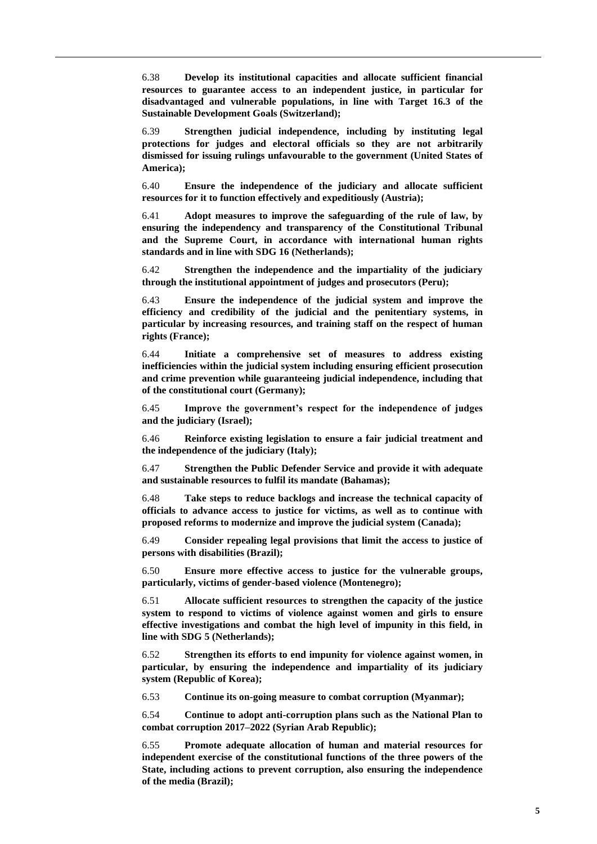6.38 **Develop its institutional capacities and allocate sufficient financial resources to guarantee access to an independent justice, in particular for disadvantaged and vulnerable populations, in line with Target 16.3 of the Sustainable Development Goals (Switzerland);**

6.39 **Strengthen judicial independence, including by instituting legal protections for judges and electoral officials so they are not arbitrarily dismissed for issuing rulings unfavourable to the government (United States of America);**

6.40 **Ensure the independence of the judiciary and allocate sufficient resources for it to function effectively and expeditiously (Austria);**

6.41 **Adopt measures to improve the safeguarding of the rule of law, by ensuring the independency and transparency of the Constitutional Tribunal and the Supreme Court, in accordance with international human rights standards and in line with SDG 16 (Netherlands);**

6.42 **Strengthen the independence and the impartiality of the judiciary through the institutional appointment of judges and prosecutors (Peru);**

6.43 **Ensure the independence of the judicial system and improve the efficiency and credibility of the judicial and the penitentiary systems, in particular by increasing resources, and training staff on the respect of human rights (France);**

6.44 **Initiate a comprehensive set of measures to address existing inefficiencies within the judicial system including ensuring efficient prosecution and crime prevention while guaranteeing judicial independence, including that of the constitutional court (Germany);**

6.45 **Improve the government's respect for the independence of judges and the judiciary (Israel);**

6.46 **Reinforce existing legislation to ensure a fair judicial treatment and the independence of the judiciary (Italy);**

6.47 **Strengthen the Public Defender Service and provide it with adequate and sustainable resources to fulfil its mandate (Bahamas);**

6.48 **Take steps to reduce backlogs and increase the technical capacity of officials to advance access to justice for victims, as well as to continue with proposed reforms to modernize and improve the judicial system (Canada);**

6.49 **Consider repealing legal provisions that limit the access to justice of persons with disabilities (Brazil);**

6.50 **Ensure more effective access to justice for the vulnerable groups, particularly, victims of gender-based violence (Montenegro);**

6.51 **Allocate sufficient resources to strengthen the capacity of the justice system to respond to victims of violence against women and girls to ensure effective investigations and combat the high level of impunity in this field, in line with SDG 5 (Netherlands);**

6.52 **Strengthen its efforts to end impunity for violence against women, in particular, by ensuring the independence and impartiality of its judiciary system (Republic of Korea);**

6.53 **Continue its on-going measure to combat corruption (Myanmar);**

6.54 **Continue to adopt anti-corruption plans such as the National Plan to combat corruption 2017–2022 (Syrian Arab Republic);**

6.55 **Promote adequate allocation of human and material resources for independent exercise of the constitutional functions of the three powers of the State, including actions to prevent corruption, also ensuring the independence of the media (Brazil);**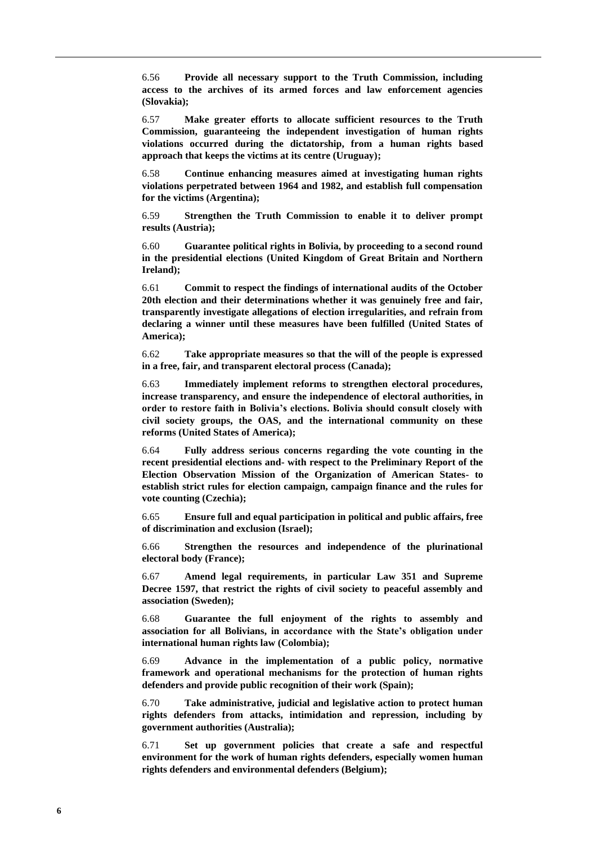6.56 **Provide all necessary support to the Truth Commission, including access to the archives of its armed forces and law enforcement agencies (Slovakia);**

6.57 **Make greater efforts to allocate sufficient resources to the Truth Commission, guaranteeing the independent investigation of human rights violations occurred during the dictatorship, from a human rights based approach that keeps the victims at its centre (Uruguay);**

6.58 **Continue enhancing measures aimed at investigating human rights violations perpetrated between 1964 and 1982, and establish full compensation for the victims (Argentina);**

6.59 **Strengthen the Truth Commission to enable it to deliver prompt results (Austria);**

6.60 **Guarantee political rights in Bolivia, by proceeding to a second round in the presidential elections (United Kingdom of Great Britain and Northern Ireland);**

6.61 **Commit to respect the findings of international audits of the October 20th election and their determinations whether it was genuinely free and fair, transparently investigate allegations of election irregularities, and refrain from declaring a winner until these measures have been fulfilled (United States of America);**

6.62 **Take appropriate measures so that the will of the people is expressed in a free, fair, and transparent electoral process (Canada);**

6.63 **Immediately implement reforms to strengthen electoral procedures, increase transparency, and ensure the independence of electoral authorities, in order to restore faith in Bolivia's elections. Bolivia should consult closely with civil society groups, the OAS, and the international community on these reforms (United States of America);**

6.64 **Fully address serious concerns regarding the vote counting in the recent presidential elections and- with respect to the Preliminary Report of the Election Observation Mission of the Organization of American States- to establish strict rules for election campaign, campaign finance and the rules for vote counting (Czechia);**

6.65 **Ensure full and equal participation in political and public affairs, free of discrimination and exclusion (Israel);**

6.66 **Strengthen the resources and independence of the plurinational electoral body (France);**

6.67 **Amend legal requirements, in particular Law 351 and Supreme Decree 1597, that restrict the rights of civil society to peaceful assembly and association (Sweden);**

6.68 **Guarantee the full enjoyment of the rights to assembly and association for all Bolivians, in accordance with the State's obligation under international human rights law (Colombia);**

6.69 **Advance in the implementation of a public policy, normative framework and operational mechanisms for the protection of human rights defenders and provide public recognition of their work (Spain);**

6.70 **Take administrative, judicial and legislative action to protect human rights defenders from attacks, intimidation and repression, including by government authorities (Australia);**

6.71 **Set up government policies that create a safe and respectful environment for the work of human rights defenders, especially women human rights defenders and environmental defenders (Belgium);**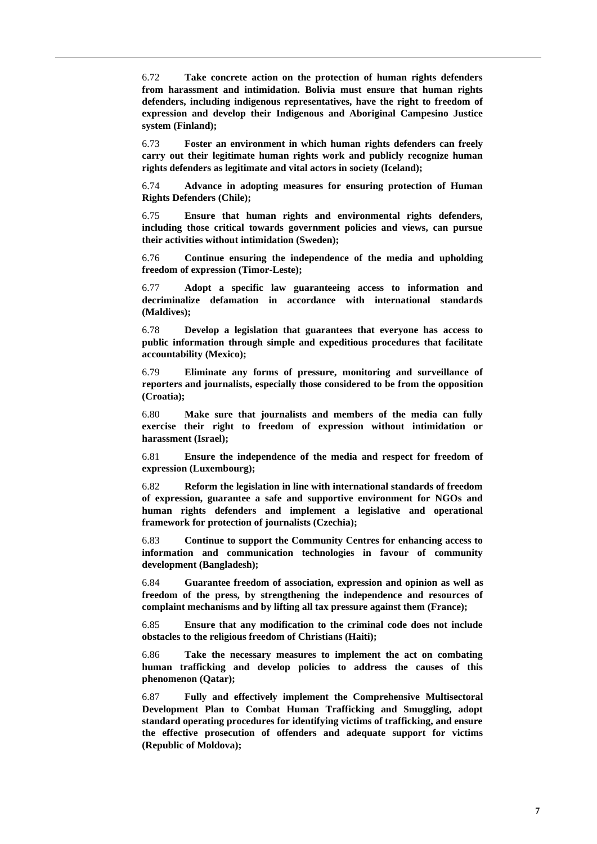6.72 **Take concrete action on the protection of human rights defenders from harassment and intimidation. Bolivia must ensure that human rights defenders, including indigenous representatives, have the right to freedom of expression and develop their Indigenous and Aboriginal Campesino Justice system (Finland);**

6.73 **Foster an environment in which human rights defenders can freely carry out their legitimate human rights work and publicly recognize human rights defenders as legitimate and vital actors in society (Iceland);**

6.74 **Advance in adopting measures for ensuring protection of Human Rights Defenders (Chile);**

6.75 **Ensure that human rights and environmental rights defenders, including those critical towards government policies and views, can pursue their activities without intimidation (Sweden);**

6.76 **Continue ensuring the independence of the media and upholding freedom of expression (Timor-Leste);**

6.77 **Adopt a specific law guaranteeing access to information and decriminalize defamation in accordance with international standards (Maldives);**

6.78 **Develop a legislation that guarantees that everyone has access to public information through simple and expeditious procedures that facilitate accountability (Mexico);**

6.79 **Eliminate any forms of pressure, monitoring and surveillance of reporters and journalists, especially those considered to be from the opposition (Croatia);**

6.80 **Make sure that journalists and members of the media can fully exercise their right to freedom of expression without intimidation or harassment (Israel);**

6.81 **Ensure the independence of the media and respect for freedom of expression (Luxembourg);**

6.82 **Reform the legislation in line with international standards of freedom of expression, guarantee a safe and supportive environment for NGOs and human rights defenders and implement a legislative and operational framework for protection of journalists (Czechia);**

6.83 **Continue to support the Community Centres for enhancing access to information and communication technologies in favour of community development (Bangladesh);**

6.84 **Guarantee freedom of association, expression and opinion as well as freedom of the press, by strengthening the independence and resources of complaint mechanisms and by lifting all tax pressure against them (France);**

6.85 **Ensure that any modification to the criminal code does not include obstacles to the religious freedom of Christians (Haiti);**

6.86 **Take the necessary measures to implement the act on combating human trafficking and develop policies to address the causes of this phenomenon (Qatar);**

6.87 **Fully and effectively implement the Comprehensive Multisectoral Development Plan to Combat Human Trafficking and Smuggling, adopt standard operating procedures for identifying victims of trafficking, and ensure the effective prosecution of offenders and adequate support for victims (Republic of Moldova);**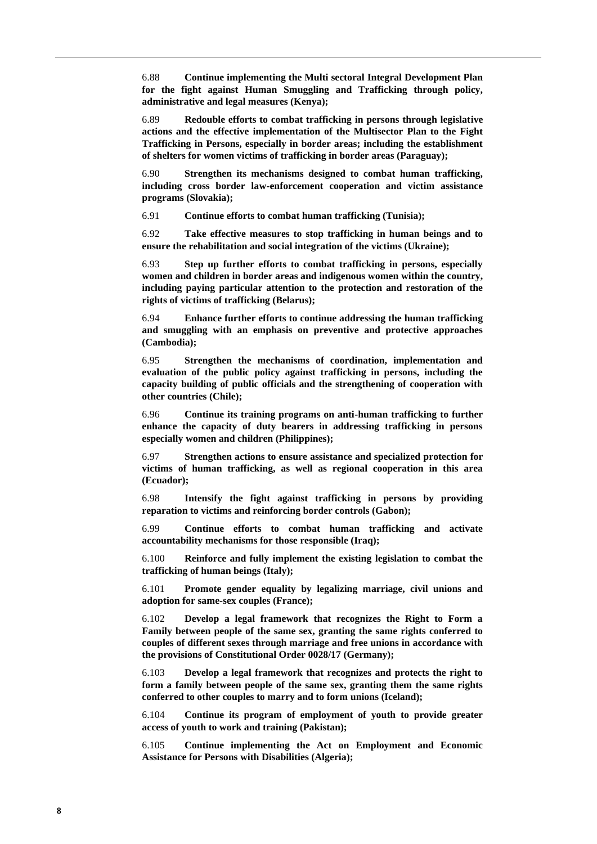6.88 **Continue implementing the Multi sectoral Integral Development Plan for the fight against Human Smuggling and Trafficking through policy, administrative and legal measures (Kenya);**

6.89 **Redouble efforts to combat trafficking in persons through legislative actions and the effective implementation of the Multisector Plan to the Fight Trafficking in Persons, especially in border areas; including the establishment of shelters for women victims of trafficking in border areas (Paraguay);**

6.90 **Strengthen its mechanisms designed to combat human trafficking, including cross border law-enforcement cooperation and victim assistance programs (Slovakia);**

6.91 **Continue efforts to combat human trafficking (Tunisia);**

6.92 **Take effective measures to stop trafficking in human beings and to ensure the rehabilitation and social integration of the victims (Ukraine);**

6.93 **Step up further efforts to combat trafficking in persons, especially women and children in border areas and indigenous women within the country, including paying particular attention to the protection and restoration of the rights of victims of trafficking (Belarus);**

6.94 **Enhance further efforts to continue addressing the human trafficking and smuggling with an emphasis on preventive and protective approaches (Cambodia);**

6.95 **Strengthen the mechanisms of coordination, implementation and evaluation of the public policy against trafficking in persons, including the capacity building of public officials and the strengthening of cooperation with other countries (Chile);**

6.96 **Continue its training programs on anti-human trafficking to further enhance the capacity of duty bearers in addressing trafficking in persons especially women and children (Philippines);**

6.97 **Strengthen actions to ensure assistance and specialized protection for victims of human trafficking, as well as regional cooperation in this area (Ecuador);**

6.98 **Intensify the fight against trafficking in persons by providing reparation to victims and reinforcing border controls (Gabon);**

6.99 **Continue efforts to combat human trafficking and activate accountability mechanisms for those responsible (Iraq);**

6.100 **Reinforce and fully implement the existing legislation to combat the trafficking of human beings (Italy);**

6.101 **Promote gender equality by legalizing marriage, civil unions and adoption for same-sex couples (France);**

6.102 **Develop a legal framework that recognizes the Right to Form a Family between people of the same sex, granting the same rights conferred to couples of different sexes through marriage and free unions in accordance with the provisions of Constitutional Order 0028/17 (Germany);**

6.103 **Develop a legal framework that recognizes and protects the right to form a family between people of the same sex, granting them the same rights conferred to other couples to marry and to form unions (Iceland);**

6.104 **Continue its program of employment of youth to provide greater access of youth to work and training (Pakistan);**

6.105 **Continue implementing the Act on Employment and Economic Assistance for Persons with Disabilities (Algeria);**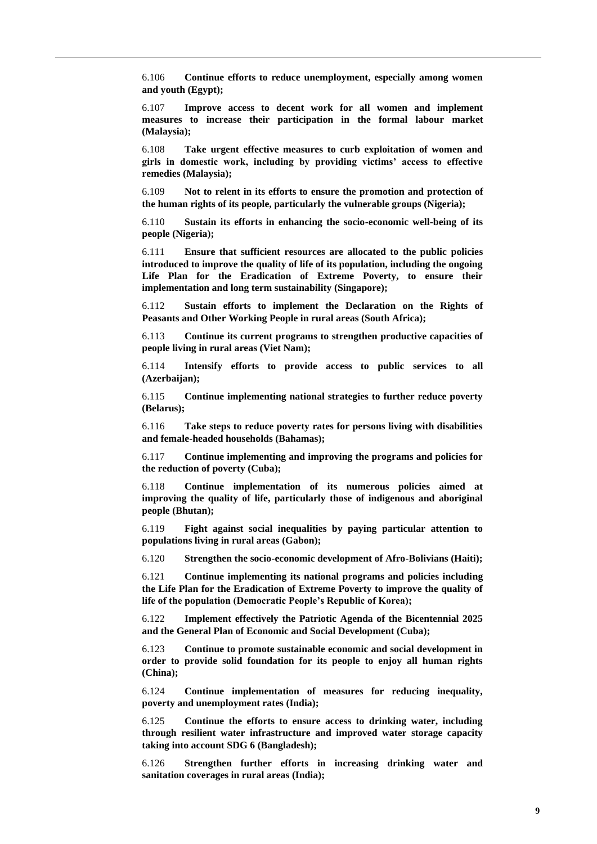6.106 **Continue efforts to reduce unemployment, especially among women and youth (Egypt);**

6.107 **Improve access to decent work for all women and implement measures to increase their participation in the formal labour market (Malaysia);**

6.108 **Take urgent effective measures to curb exploitation of women and girls in domestic work, including by providing victims' access to effective remedies (Malaysia);**

6.109 **Not to relent in its efforts to ensure the promotion and protection of the human rights of its people, particularly the vulnerable groups (Nigeria);**

6.110 **Sustain its efforts in enhancing the socio-economic well-being of its people (Nigeria);**

6.111 **Ensure that sufficient resources are allocated to the public policies introduced to improve the quality of life of its population, including the ongoing Life Plan for the Eradication of Extreme Poverty, to ensure their implementation and long term sustainability (Singapore);**

6.112 **Sustain efforts to implement the Declaration on the Rights of Peasants and Other Working People in rural areas (South Africa);**

6.113 **Continue its current programs to strengthen productive capacities of people living in rural areas (Viet Nam);**

6.114 **Intensify efforts to provide access to public services to all (Azerbaijan);**

6.115 **Continue implementing national strategies to further reduce poverty (Belarus);**

6.116 **Take steps to reduce poverty rates for persons living with disabilities and female-headed households (Bahamas);**

6.117 **Continue implementing and improving the programs and policies for the reduction of poverty (Cuba);**

6.118 **Continue implementation of its numerous policies aimed at improving the quality of life, particularly those of indigenous and aboriginal people (Bhutan);**

6.119 **Fight against social inequalities by paying particular attention to populations living in rural areas (Gabon);**

6.120 **Strengthen the socio-economic development of Afro-Bolivians (Haiti);**

6.121 **Continue implementing its national programs and policies including the Life Plan for the Eradication of Extreme Poverty to improve the quality of life of the population (Democratic People's Republic of Korea);**

6.122 **Implement effectively the Patriotic Agenda of the Bicentennial 2025 and the General Plan of Economic and Social Development (Cuba);**

6.123 **Continue to promote sustainable economic and social development in order to provide solid foundation for its people to enjoy all human rights (China);**

6.124 **Continue implementation of measures for reducing inequality, poverty and unemployment rates (India);**

6.125 **Continue the efforts to ensure access to drinking water, including through resilient water infrastructure and improved water storage capacity taking into account SDG 6 (Bangladesh);**

6.126 **Strengthen further efforts in increasing drinking water and sanitation coverages in rural areas (India);**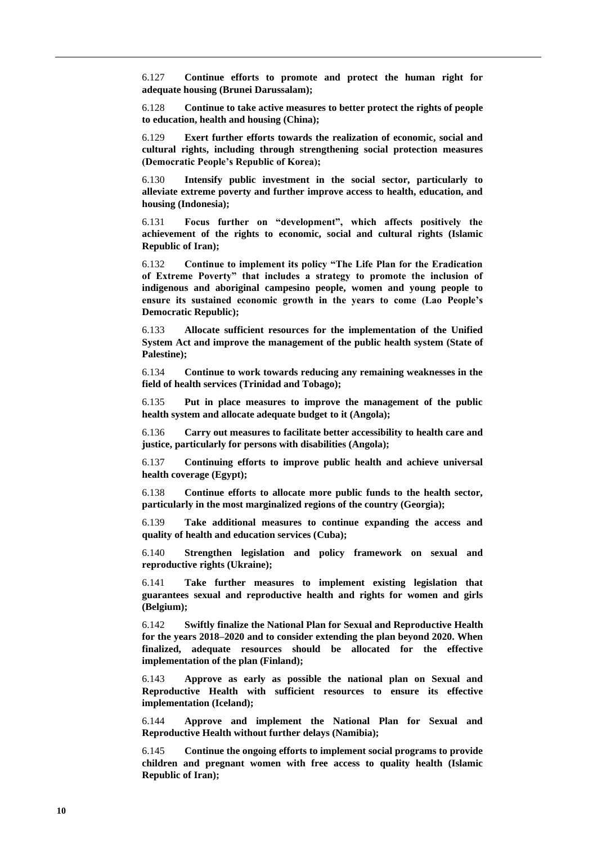6.127 **Continue efforts to promote and protect the human right for adequate housing (Brunei Darussalam);**

6.128 **Continue to take active measures to better protect the rights of people to education, health and housing (China);**

6.129 **Exert further efforts towards the realization of economic, social and cultural rights, including through strengthening social protection measures (Democratic People's Republic of Korea);**

6.130 **Intensify public investment in the social sector, particularly to alleviate extreme poverty and further improve access to health, education, and housing (Indonesia);**

6.131 **Focus further on "development", which affects positively the achievement of the rights to economic, social and cultural rights (Islamic Republic of Iran);**

6.132 **Continue to implement its policy "The Life Plan for the Eradication of Extreme Poverty" that includes a strategy to promote the inclusion of indigenous and aboriginal campesino people, women and young people to ensure its sustained economic growth in the years to come (Lao People's Democratic Republic);**

6.133 **Allocate sufficient resources for the implementation of the Unified System Act and improve the management of the public health system (State of Palestine);**

6.134 **Continue to work towards reducing any remaining weaknesses in the field of health services (Trinidad and Tobago);**

6.135 **Put in place measures to improve the management of the public health system and allocate adequate budget to it (Angola);**

6.136 **Carry out measures to facilitate better accessibility to health care and justice, particularly for persons with disabilities (Angola);**

6.137 **Continuing efforts to improve public health and achieve universal health coverage (Egypt);**

6.138 **Continue efforts to allocate more public funds to the health sector, particularly in the most marginalized regions of the country (Georgia);**

6.139 **Take additional measures to continue expanding the access and quality of health and education services (Cuba);**

6.140 **Strengthen legislation and policy framework on sexual and reproductive rights (Ukraine);**

6.141 **Take further measures to implement existing legislation that guarantees sexual and reproductive health and rights for women and girls (Belgium);**

6.142 **Swiftly finalize the National Plan for Sexual and Reproductive Health for the years 2018–2020 and to consider extending the plan beyond 2020. When finalized, adequate resources should be allocated for the effective implementation of the plan (Finland);**

6.143 **Approve as early as possible the national plan on Sexual and Reproductive Health with sufficient resources to ensure its effective implementation (Iceland);**

6.144 **Approve and implement the National Plan for Sexual and Reproductive Health without further delays (Namibia);**

6.145 **Continue the ongoing efforts to implement social programs to provide children and pregnant women with free access to quality health (Islamic Republic of Iran);**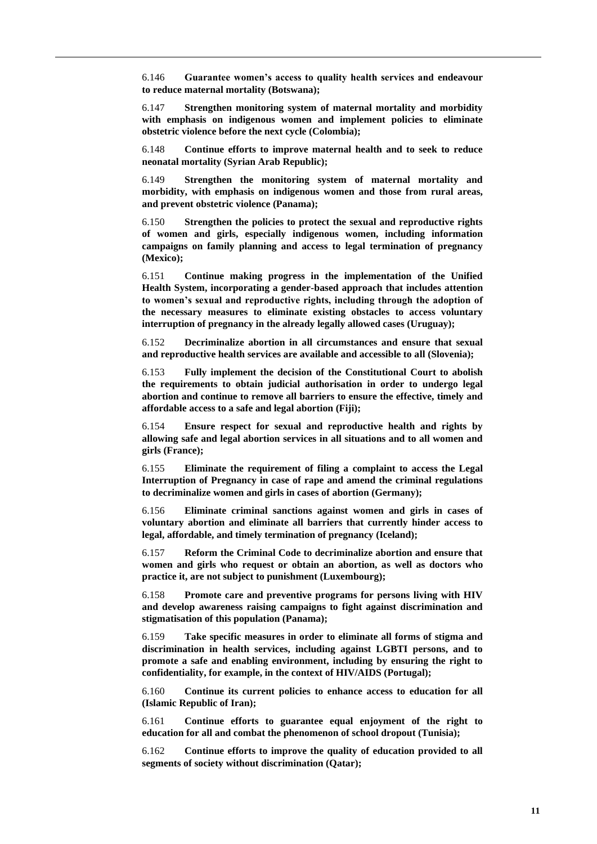6.146 **Guarantee women's access to quality health services and endeavour to reduce maternal mortality (Botswana);**

6.147 **Strengthen monitoring system of maternal mortality and morbidity with emphasis on indigenous women and implement policies to eliminate obstetric violence before the next cycle (Colombia);**

6.148 **Continue efforts to improve maternal health and to seek to reduce neonatal mortality (Syrian Arab Republic);**

6.149 **Strengthen the monitoring system of maternal mortality and morbidity, with emphasis on indigenous women and those from rural areas, and prevent obstetric violence (Panama);**

6.150 **Strengthen the policies to protect the sexual and reproductive rights of women and girls, especially indigenous women, including information campaigns on family planning and access to legal termination of pregnancy (Mexico);**

6.151 **Continue making progress in the implementation of the Unified Health System, incorporating a gender-based approach that includes attention to women's sexual and reproductive rights, including through the adoption of the necessary measures to eliminate existing obstacles to access voluntary interruption of pregnancy in the already legally allowed cases (Uruguay);**

6.152 **Decriminalize abortion in all circumstances and ensure that sexual and reproductive health services are available and accessible to all (Slovenia);**

6.153 **Fully implement the decision of the Constitutional Court to abolish the requirements to obtain judicial authorisation in order to undergo legal abortion and continue to remove all barriers to ensure the effective, timely and affordable access to a safe and legal abortion (Fiji);**

6.154 **Ensure respect for sexual and reproductive health and rights by allowing safe and legal abortion services in all situations and to all women and girls (France);**

6.155 **Eliminate the requirement of filing a complaint to access the Legal Interruption of Pregnancy in case of rape and amend the criminal regulations to decriminalize women and girls in cases of abortion (Germany);**

6.156 **Eliminate criminal sanctions against women and girls in cases of voluntary abortion and eliminate all barriers that currently hinder access to legal, affordable, and timely termination of pregnancy (Iceland);**

6.157 **Reform the Criminal Code to decriminalize abortion and ensure that women and girls who request or obtain an abortion, as well as doctors who practice it, are not subject to punishment (Luxembourg);**

6.158 **Promote care and preventive programs for persons living with HIV and develop awareness raising campaigns to fight against discrimination and stigmatisation of this population (Panama);**

6.159 **Take specific measures in order to eliminate all forms of stigma and discrimination in health services, including against LGBTI persons, and to promote a safe and enabling environment, including by ensuring the right to confidentiality, for example, in the context of HIV/AIDS (Portugal);**

6.160 **Continue its current policies to enhance access to education for all (Islamic Republic of Iran);**

6.161 **Continue efforts to guarantee equal enjoyment of the right to education for all and combat the phenomenon of school dropout (Tunisia);**

6.162 **Continue efforts to improve the quality of education provided to all segments of society without discrimination (Qatar);**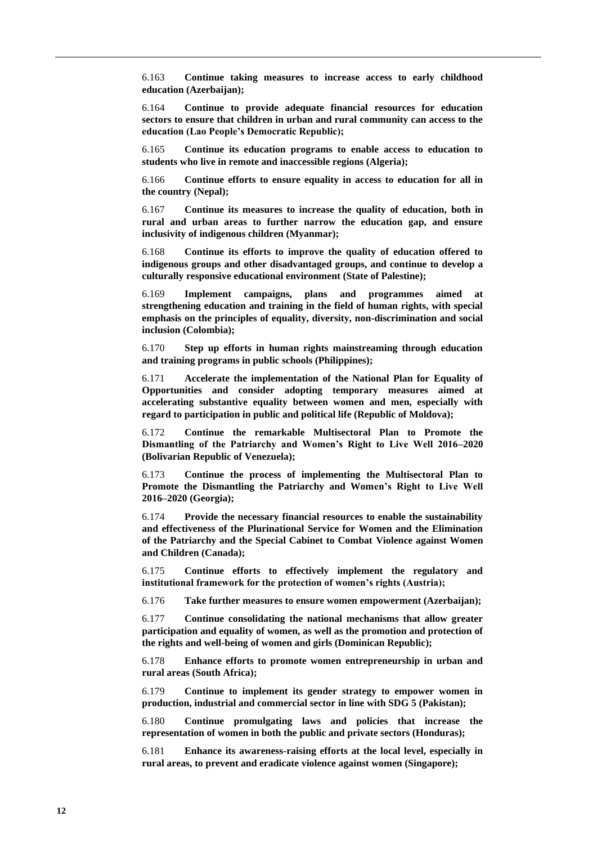6.163 **Continue taking measures to increase access to early childhood education (Azerbaijan);**

6.164 **Continue to provide adequate financial resources for education sectors to ensure that children in urban and rural community can access to the education (Lao People's Democratic Republic);**

6.165 **Continue its education programs to enable access to education to students who live in remote and inaccessible regions (Algeria);**

6.166 **Continue efforts to ensure equality in access to education for all in the country (Nepal);**

6.167 **Continue its measures to increase the quality of education, both in rural and urban areas to further narrow the education gap, and ensure inclusivity of indigenous children (Myanmar);**

6.168 **Continue its efforts to improve the quality of education offered to indigenous groups and other disadvantaged groups, and continue to develop a culturally responsive educational environment (State of Palestine);**

6.169 **Implement campaigns, plans and programmes aimed at strengthening education and training in the field of human rights, with special emphasis on the principles of equality, diversity, non-discrimination and social inclusion (Colombia);**

6.170 **Step up efforts in human rights mainstreaming through education and training programs in public schools (Philippines);**

6.171 **Accelerate the implementation of the National Plan for Equality of Opportunities and consider adopting temporary measures aimed at accelerating substantive equality between women and men, especially with regard to participation in public and political life (Republic of Moldova);**

6.172 **Continue the remarkable Multisectoral Plan to Promote the Dismantling of the Patriarchy and Women's Right to Live Well 2016–2020 (Bolivarian Republic of Venezuela);**

6.173 **Continue the process of implementing the Multisectoral Plan to Promote the Dismantling the Patriarchy and Women's Right to Live Well 2016–2020 (Georgia);**

6.174 **Provide the necessary financial resources to enable the sustainability and effectiveness of the Plurinational Service for Women and the Elimination of the Patriarchy and the Special Cabinet to Combat Violence against Women and Children (Canada);**

6.175 **Continue efforts to effectively implement the regulatory and institutional framework for the protection of women's rights (Austria);**

6.176 **Take further measures to ensure women empowerment (Azerbaijan);**

6.177 **Continue consolidating the national mechanisms that allow greater participation and equality of women, as well as the promotion and protection of the rights and well-being of women and girls (Dominican Republic);**

6.178 **Enhance efforts to promote women entrepreneurship in urban and rural areas (South Africa);**

6.179 **Continue to implement its gender strategy to empower women in production, industrial and commercial sector in line with SDG 5 (Pakistan);**

6.180 **Continue promulgating laws and policies that increase the representation of women in both the public and private sectors (Honduras);**

6.181 **Enhance its awareness-raising efforts at the local level, especially in rural areas, to prevent and eradicate violence against women (Singapore);**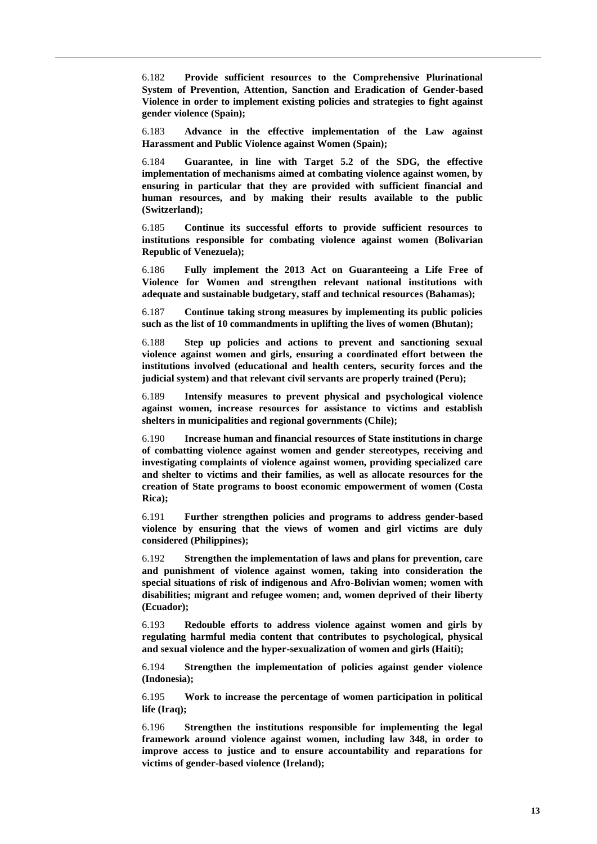6.182 **Provide sufficient resources to the Comprehensive Plurinational System of Prevention, Attention, Sanction and Eradication of Gender-based Violence in order to implement existing policies and strategies to fight against gender violence (Spain);**

6.183 **Advance in the effective implementation of the Law against Harassment and Public Violence against Women (Spain);**

6.184 **Guarantee, in line with Target 5.2 of the SDG, the effective implementation of mechanisms aimed at combating violence against women, by ensuring in particular that they are provided with sufficient financial and human resources, and by making their results available to the public (Switzerland);**

6.185 **Continue its successful efforts to provide sufficient resources to institutions responsible for combating violence against women (Bolivarian Republic of Venezuela);**

6.186 **Fully implement the 2013 Act on Guaranteeing a Life Free of Violence for Women and strengthen relevant national institutions with adequate and sustainable budgetary, staff and technical resources (Bahamas);**

6.187 **Continue taking strong measures by implementing its public policies such as the list of 10 commandments in uplifting the lives of women (Bhutan);**

6.188 **Step up policies and actions to prevent and sanctioning sexual violence against women and girls, ensuring a coordinated effort between the institutions involved (educational and health centers, security forces and the judicial system) and that relevant civil servants are properly trained (Peru);**

6.189 **Intensify measures to prevent physical and psychological violence against women, increase resources for assistance to victims and establish shelters in municipalities and regional governments (Chile);**

6.190 **Increase human and financial resources of State institutions in charge of combatting violence against women and gender stereotypes, receiving and investigating complaints of violence against women, providing specialized care and shelter to victims and their families, as well as allocate resources for the creation of State programs to boost economic empowerment of women (Costa Rica);**

6.191 **Further strengthen policies and programs to address gender-based violence by ensuring that the views of women and girl victims are duly considered (Philippines);**

6.192 **Strengthen the implementation of laws and plans for prevention, care and punishment of violence against women, taking into consideration the special situations of risk of indigenous and Afro-Bolivian women; women with disabilities; migrant and refugee women; and, women deprived of their liberty (Ecuador);**

6.193 **Redouble efforts to address violence against women and girls by regulating harmful media content that contributes to psychological, physical and sexual violence and the hyper-sexualization of women and girls (Haiti);**

6.194 **Strengthen the implementation of policies against gender violence (Indonesia);**

6.195 **Work to increase the percentage of women participation in political life (Iraq);**

6.196 **Strengthen the institutions responsible for implementing the legal framework around violence against women, including law 348, in order to improve access to justice and to ensure accountability and reparations for victims of gender-based violence (Ireland);**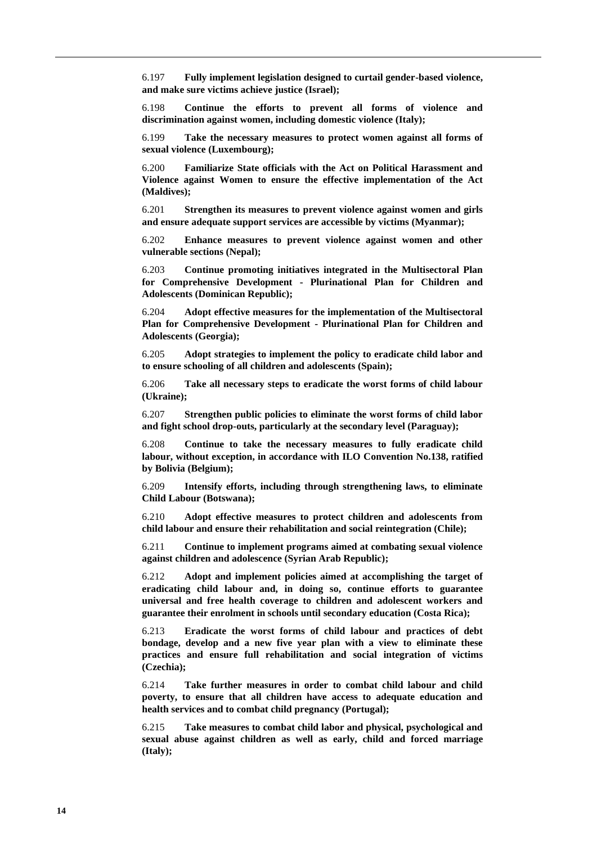6.197 **Fully implement legislation designed to curtail gender-based violence, and make sure victims achieve justice (Israel);**

6.198 **Continue the efforts to prevent all forms of violence and discrimination against women, including domestic violence (Italy);**

6.199 **Take the necessary measures to protect women against all forms of sexual violence (Luxembourg);**

6.200 **Familiarize State officials with the Act on Political Harassment and Violence against Women to ensure the effective implementation of the Act (Maldives);**

6.201 **Strengthen its measures to prevent violence against women and girls and ensure adequate support services are accessible by victims (Myanmar);**

6.202 **Enhance measures to prevent violence against women and other vulnerable sections (Nepal);**

6.203 **Continue promoting initiatives integrated in the Multisectoral Plan for Comprehensive Development - Plurinational Plan for Children and Adolescents (Dominican Republic);**

6.204 **Adopt effective measures for the implementation of the Multisectoral Plan for Comprehensive Development - Plurinational Plan for Children and Adolescents (Georgia);**

6.205 **Adopt strategies to implement the policy to eradicate child labor and to ensure schooling of all children and adolescents (Spain);**

6.206 **Take all necessary steps to eradicate the worst forms of child labour (Ukraine);**

6.207 **Strengthen public policies to eliminate the worst forms of child labor and fight school drop-outs, particularly at the secondary level (Paraguay);**

6.208 **Continue to take the necessary measures to fully eradicate child labour, without exception, in accordance with ILO Convention No.138, ratified by Bolivia (Belgium);**

6.209 **Intensify efforts, including through strengthening laws, to eliminate Child Labour (Botswana);**

6.210 **Adopt effective measures to protect children and adolescents from child labour and ensure their rehabilitation and social reintegration (Chile);**

6.211 **Continue to implement programs aimed at combating sexual violence against children and adolescence (Syrian Arab Republic);**

6.212 **Adopt and implement policies aimed at accomplishing the target of eradicating child labour and, in doing so, continue efforts to guarantee universal and free health coverage to children and adolescent workers and guarantee their enrolment in schools until secondary education (Costa Rica);**

6.213 **Eradicate the worst forms of child labour and practices of debt bondage, develop and a new five year plan with a view to eliminate these practices and ensure full rehabilitation and social integration of victims (Czechia);**

6.214 **Take further measures in order to combat child labour and child poverty, to ensure that all children have access to adequate education and health services and to combat child pregnancy (Portugal);**

6.215 **Take measures to combat child labor and physical, psychological and sexual abuse against children as well as early, child and forced marriage (Italy);**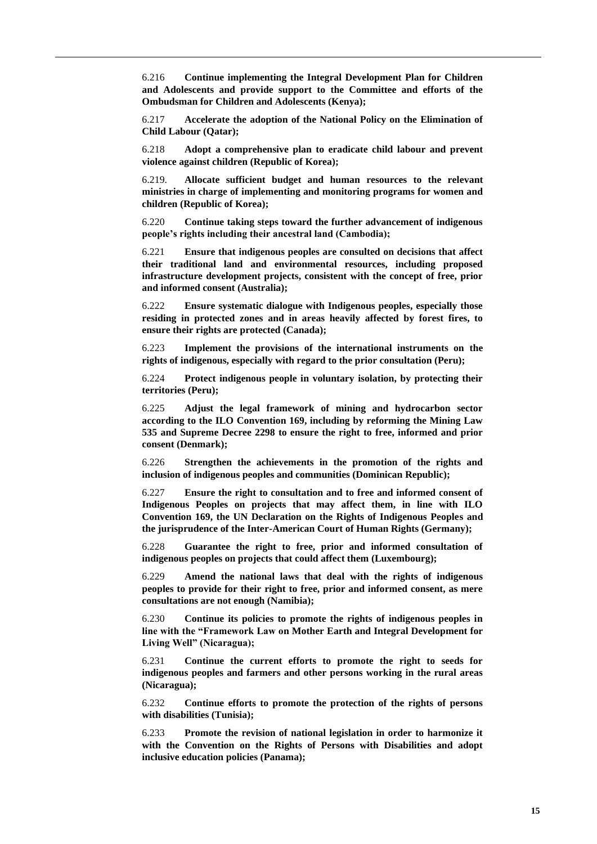6.216 **Continue implementing the Integral Development Plan for Children and Adolescents and provide support to the Committee and efforts of the Ombudsman for Children and Adolescents (Kenya);**

6.217 **Accelerate the adoption of the National Policy on the Elimination of Child Labour (Qatar);**

6.218 **Adopt a comprehensive plan to eradicate child labour and prevent violence against children (Republic of Korea);**

6.219. **Allocate sufficient budget and human resources to the relevant ministries in charge of implementing and monitoring programs for women and children (Republic of Korea);**

6.220 **Continue taking steps toward the further advancement of indigenous people's rights including their ancestral land (Cambodia);**

6.221 **Ensure that indigenous peoples are consulted on decisions that affect their traditional land and environmental resources, including proposed infrastructure development projects, consistent with the concept of free, prior and informed consent (Australia);**

6.222 **Ensure systematic dialogue with Indigenous peoples, especially those residing in protected zones and in areas heavily affected by forest fires, to ensure their rights are protected (Canada);**

6.223 **Implement the provisions of the international instruments on the rights of indigenous, especially with regard to the prior consultation (Peru);**

6.224 **Protect indigenous people in voluntary isolation, by protecting their territories (Peru);**

6.225 **Adjust the legal framework of mining and hydrocarbon sector according to the ILO Convention 169, including by reforming the Mining Law 535 and Supreme Decree 2298 to ensure the right to free, informed and prior consent (Denmark);**

6.226 **Strengthen the achievements in the promotion of the rights and inclusion of indigenous peoples and communities (Dominican Republic);**

6.227 **Ensure the right to consultation and to free and informed consent of Indigenous Peoples on projects that may affect them, in line with ILO Convention 169, the UN Declaration on the Rights of Indigenous Peoples and the jurisprudence of the Inter-American Court of Human Rights (Germany);**

6.228 **Guarantee the right to free, prior and informed consultation of indigenous peoples on projects that could affect them (Luxembourg);**

6.229 **Amend the national laws that deal with the rights of indigenous peoples to provide for their right to free, prior and informed consent, as mere consultations are not enough (Namibia);**

6.230 **Continue its policies to promote the rights of indigenous peoples in line with the "Framework Law on Mother Earth and Integral Development for Living Well" (Nicaragua);**

6.231 **Continue the current efforts to promote the right to seeds for indigenous peoples and farmers and other persons working in the rural areas (Nicaragua);**

6.232 **Continue efforts to promote the protection of the rights of persons with disabilities (Tunisia);**

6.233 **Promote the revision of national legislation in order to harmonize it with the Convention on the Rights of Persons with Disabilities and adopt inclusive education policies (Panama);**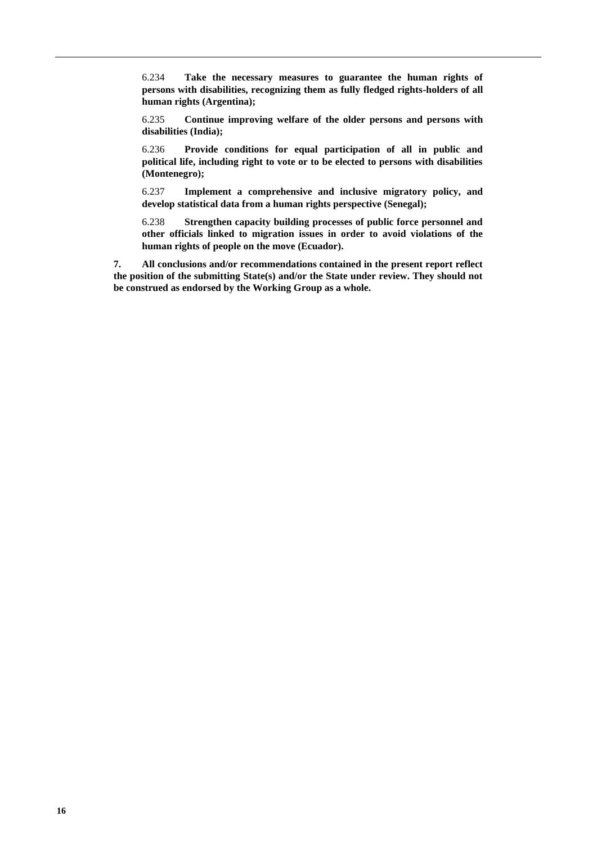6.234 **Take the necessary measures to guarantee the human rights of persons with disabilities, recognizing them as fully fledged rights-holders of all human rights (Argentina);**

6.235 **Continue improving welfare of the older persons and persons with disabilities (India);**

6.236 **Provide conditions for equal participation of all in public and political life, including right to vote or to be elected to persons with disabilities (Montenegro);**

6.237 **Implement a comprehensive and inclusive migratory policy, and develop statistical data from a human rights perspective (Senegal);**

6.238 **Strengthen capacity building processes of public force personnel and other officials linked to migration issues in order to avoid violations of the human rights of people on the move (Ecuador).**

**7. All conclusions and/or recommendations contained in the present report reflect the position of the submitting State(s) and/or the State under review. They should not be construed as endorsed by the Working Group as a whole.**